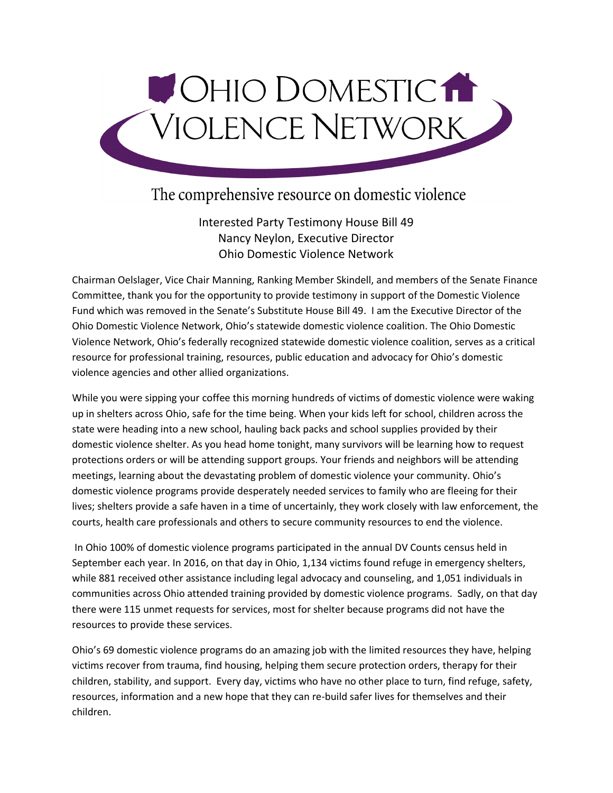

## The comprehensive resource on domestic violence

Interested Party Testimony House Bill 49 Nancy Neylon, Executive Director Ohio Domestic Violence Network

Chairman Oelslager, Vice Chair Manning, Ranking Member Skindell, and members of the Senate Finance Committee, thank you for the opportunity to provide testimony in support of the Domestic Violence Fund which was removed in the Senate's Substitute House Bill 49. I am the Executive Director of the Ohio Domestic Violence Network, Ohio's statewide domestic violence coalition. The Ohio Domestic Violence Network, Ohio's federally recognized statewide domestic violence coalition, serves as a critical resource for professional training, resources, public education and advocacy for Ohio's domestic violence agencies and other allied organizations.

While you were sipping your coffee this morning hundreds of victims of domestic violence were waking up in shelters across Ohio, safe for the time being. When your kids left for school, children across the state were heading into a new school, hauling back packs and school supplies provided by their domestic violence shelter. As you head home tonight, many survivors will be learning how to request protections orders or will be attending support groups. Your friends and neighbors will be attending meetings, learning about the devastating problem of domestic violence your community. Ohio's domestic violence programs provide desperately needed services to family who are fleeing for their lives; shelters provide a safe haven in a time of uncertainly, they work closely with law enforcement, the courts, health care professionals and others to secure community resources to end the violence.

In Ohio 100% of domestic violence programs participated in the annual DV Counts census held in September each year. In 2016, on that day in Ohio, 1,134 victims found refuge in emergency shelters, while 881 received other assistance including legal advocacy and counseling, and 1,051 individuals in communities across Ohio attended training provided by domestic violence programs. Sadly, on that day there were 115 unmet requests for services, most for shelter because programs did not have the resources to provide these services.

Ohio's 69 domestic violence programs do an amazing job with the limited resources they have, helping victims recover from trauma, find housing, helping them secure protection orders, therapy for their children, stability, and support. Every day, victims who have no other place to turn, find refuge, safety, resources, information and a new hope that they can re-build safer lives for themselves and their children.